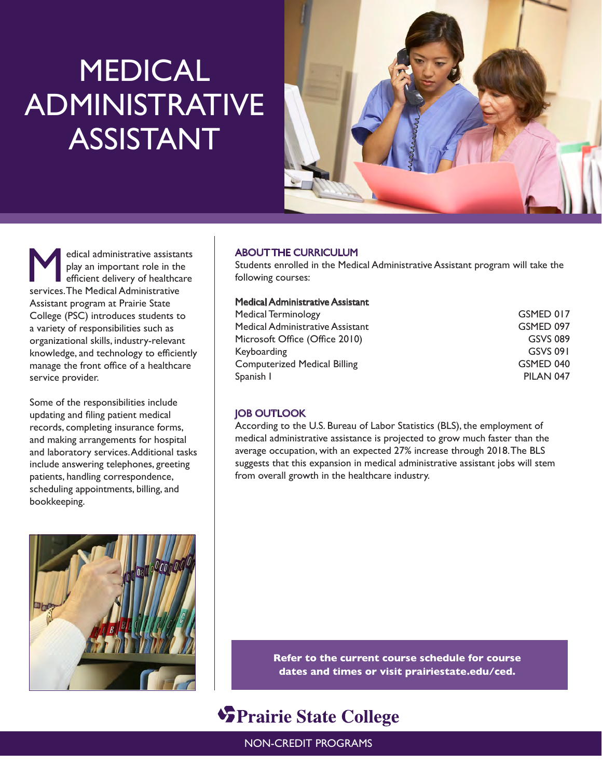## MEDICAL ADMINISTRATIVE ASSISTANT



Medical administrative assistants<br>
play an important role in the<br>
efficient delivery of healthcare<br>
services The Medical Administrative play an important role in the services. The Medical Administrative Assistant program at Prairie State College (PSC) introduces students to a variety of responsibilities such as organizational skills, industry-relevant knowledge, and technology to efficiently manage the front office of a healthcare service provider.

Some of the responsibilities include updating and filing patient medical records, completing insurance forms, and making arrangements for hospital and laboratory services. Additional tasks include answering telephones, greeting patients, handling correspondence, scheduling appointments, billing, and bookkeeping.

#### ABOUT THE CURRICULUM

Students enrolled in the Medical Administrative Assistant program will take the following courses:

#### Medical Administrative Assistant

| GSMED 017 |
|-----------|
| GSMED 097 |
| GSVS 089  |
| GSVS 091  |
| GSMED 040 |
| PILAN 047 |
|           |

#### JOB OUTLOOK

According to the U.S. Bureau of Labor Statistics (BLS), the employment of medical administrative assistance is projected to grow much faster than the average occupation, with an expected 27% increase through 2018. The BLS suggests that this expansion in medical administrative assistant jobs will stem from overall growth in the healthcare industry.



**Refer to the current course schedule for course dates and times or visit prairiestate.edu/ced.**

### **SPrairie State College**

NON-CREDIT PROGRAMS